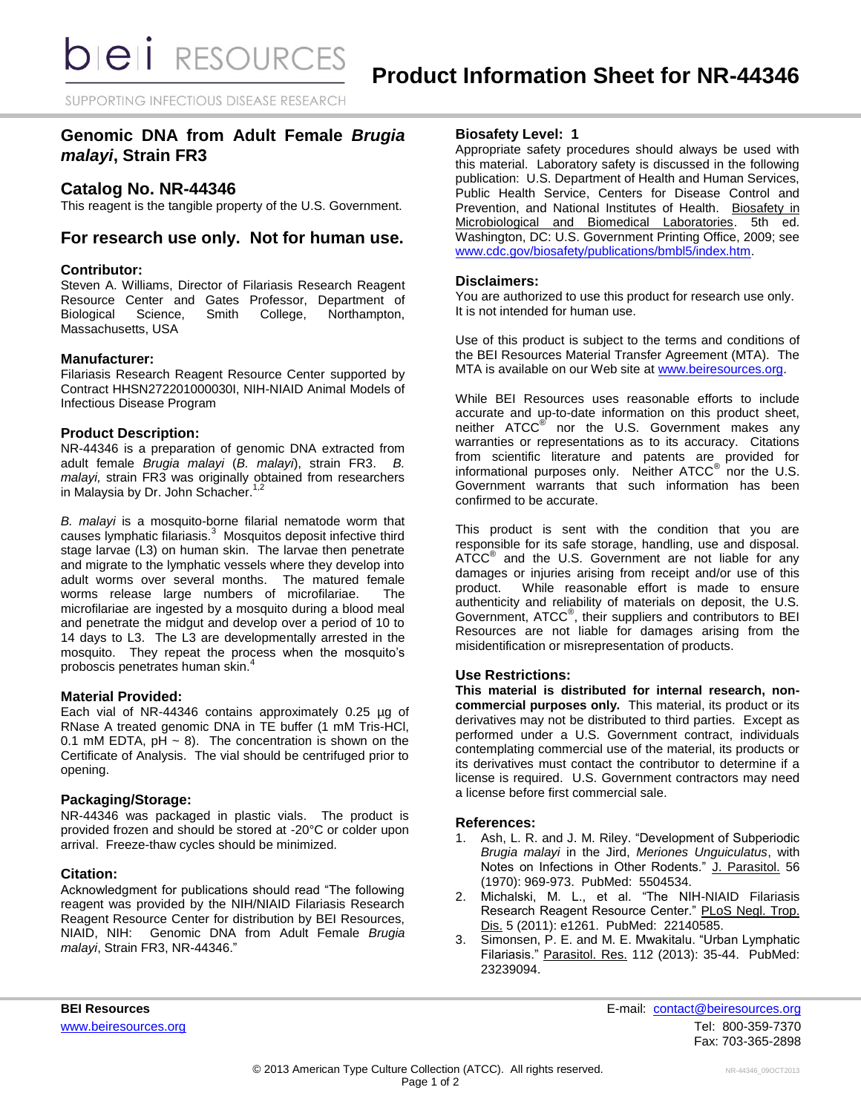SUPPORTING INFECTIOUS DISEASE RESEARCH

# **Genomic DNA from Adult Female** *Brugia malayi***, Strain FR3**

## **Catalog No. NR-44346**

This reagent is the tangible property of the U.S. Government.

## **For research use only. Not for human use.**

### **Contributor:**

Steven A. Williams, Director of Filariasis Research Reagent Resource Center and Gates Professor, Department of Biological Science, Smith College, Northampton, Massachusetts, USA

### **Manufacturer:**

Filariasis Research Reagent Resource Center supported by Contract HHSN272201000030I, NIH-NIAID Animal Models of Infectious Disease Program

#### **Product Description:**

NR-44346 is a preparation of genomic DNA extracted from adult female *Brugia malayi* (*B. malayi*), strain FR3. *B. malayi,* strain FR3 was originally obtained from researchers in Malaysia by Dr. John Schacher.<sup>1,2</sup>

*B. malayi* is a mosquito-borne filarial nematode worm that causes lymphatic filariasis.<sup>3</sup> Mosquitos deposit infective third stage larvae (L3) on human skin. The larvae then penetrate and migrate to the lymphatic vessels where they develop into adult worms over several months. The matured female worms release large numbers of microfilariae. The microfilariae are ingested by a mosquito during a blood meal and penetrate the midgut and develop over a period of 10 to 14 days to L3. The L3 are developmentally arrested in the mosquito. They repeat the process when the mosquito's proboscis penetrates human skin.<sup>4</sup>

#### **Material Provided:**

Each vial of NR-44346 contains approximately 0.25 µg of RNase A treated genomic DNA in TE buffer (1 mM Tris-HCl, 0.1 mM EDTA,  $pH \sim 8$ ). The concentration is shown on the Certificate of Analysis. The vial should be centrifuged prior to opening.

### **Packaging/Storage:**

NR-44346 was packaged in plastic vials. The product is provided frozen and should be stored at -20°C or colder upon arrival. Freeze-thaw cycles should be minimized.

#### **Citation:**

Acknowledgment for publications should read "The following reagent was provided by the NIH/NIAID Filariasis Research Reagent Resource Center for distribution by BEI Resources, NIAID, NIH: Genomic DNA from Adult Female *Brugia malayi*, Strain FR3, NR-44346."

### **Biosafety Level: 1**

Appropriate safety procedures should always be used with this material. Laboratory safety is discussed in the following publication: U.S. Department of Health and Human Services, Public Health Service, Centers for Disease Control and Prevention, and National Institutes of Health. Biosafety in Microbiological and Biomedical Laboratories. 5th ed. Washington, DC: U.S. Government Printing Office, 2009; see [www.cdc.gov/biosafety/publications/bmbl5/index.htm.](http://www.cdc.gov/biosafety/publications/bmbl5/index.htm)

### **Disclaimers:**

You are authorized to use this product for research use only. It is not intended for human use.

Use of this product is subject to the terms and conditions of the BEI Resources Material Transfer Agreement (MTA). The MTA is available on our Web site at [www.beiresources.org.](http://www.beiresources.org/)

While BEI Resources uses reasonable efforts to include accurate and up-to-date information on this product sheet, neither ATCC<sup>®</sup> nor the U.S. Government makes any warranties or representations as to its accuracy. Citations from scientific literature and patents are provided for informational purposes only. Neither  $\tt{ATCC}^@$  nor the U.S. Government warrants that such information has been confirmed to be accurate.

This product is sent with the condition that you are responsible for its safe storage, handling, use and disposal. ATCC<sup>®</sup> and the U.S. Government are not liable for any damages or injuries arising from receipt and/or use of this product. While reasonable effort is made to ensure While reasonable effort is made to ensure authenticity and reliability of materials on deposit, the U.S. Government, ATCC® , their suppliers and contributors to BEI Resources are not liable for damages arising from the misidentification or misrepresentation of products.

### **Use Restrictions:**

**This material is distributed for internal research, noncommercial purposes only.** This material, its product or its derivatives may not be distributed to third parties. Except as performed under a U.S. Government contract, individuals contemplating commercial use of the material, its products or its derivatives must contact the contributor to determine if a license is required. U.S. Government contractors may need a license before first commercial sale.

#### **References:**

- 1. Ash, L. R. and J. M. Riley. "Development of Subperiodic *Brugia malayi* in the Jird, *Meriones Unguiculatus*, with Notes on Infections in Other Rodents." J. Parasitol. 56 (1970): 969-973. PubMed: 5504534.
- 2. Michalski, M. L., et al. "The NIH-NIAID Filariasis Research Reagent Resource Center." PLoS Negl. Trop. Dis. 5 (2011): e1261. PubMed: 22140585.
- 3. Simonsen, P. E. and M. E. Mwakitalu. "Urban Lymphatic Filariasis." Parasitol. Res. 112 (2013): 35-44. PubMed: 23239094.

**BEI Resources** E-mail: [contact@beiresources.org](mailto:contact@beiresources.org) [www.beiresources.org](http://www.beiresources.org/)Tel: 800-359-7370 Fax: 703-365-2898